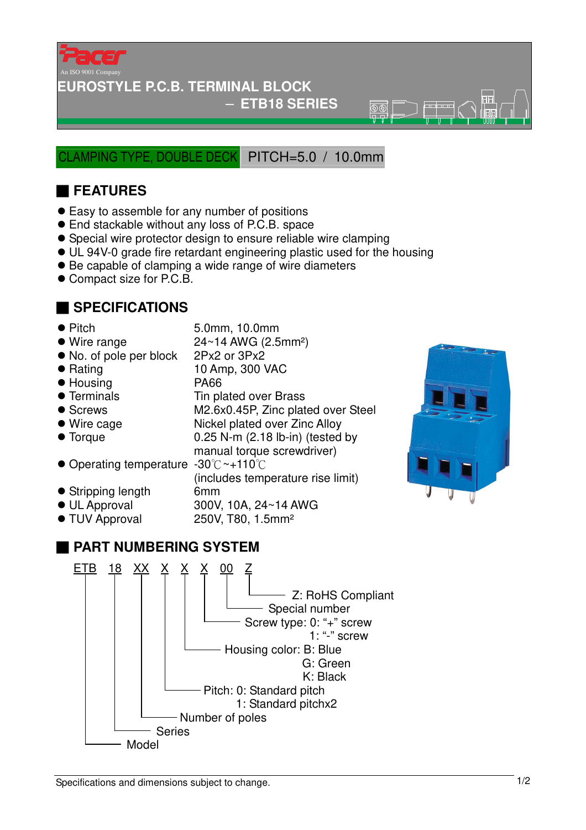

## **EUROSTYLE P.C.B. TERMINAL BLOCK**

### − **ETB18 SERIES**

 $\overline{\mathbb{R}}\overline{\mathbb{R}}$ 

LAMPING TYPE, DOUBLE DECK PITCH=5.0 / 10.0mm

# ■ **FEATURES**

- Easy to assemble for any number of positions
- End stackable without any loss of P.C.B. space
- Special wire protector design to ensure reliable wire clamping
- UL 94V-0 grade fire retardant engineering plastic used for the housing
- Be capable of clamping a wide range of wire diameters
- Compact size for P.C.B.

# ■ **SPECIFICATIONS**

- 
- Pitch 5.0mm, 10.0mm

(includes temperature rise limit)

- $\bullet$  Wire range  $24 \sim 14$  AWG (2.5mm<sup>2</sup>)
- No. of pole per block 2Px2 or 3Px2
- Rating 10 Amp, 300 VAC
- Housing PA66
- Terminals Tin plated over Brass
- Screws M2.6x0.45P, Zinc plated over Steel
- Wire cage Nickel plated over Zinc Alloy
- Torque 0.25 N-m (2.18 lb-in) (tested by
- manual torque screwdriver) ● Operating temperature -30°C ~+110°C
- Stripping length 6mm
- UL Approval 300V, 10A, 24~14 AWG
- TUV Approval 250V, T80, 1.5mm<sup>2</sup>

# ■ **PART NUMBERING SYSTEM**